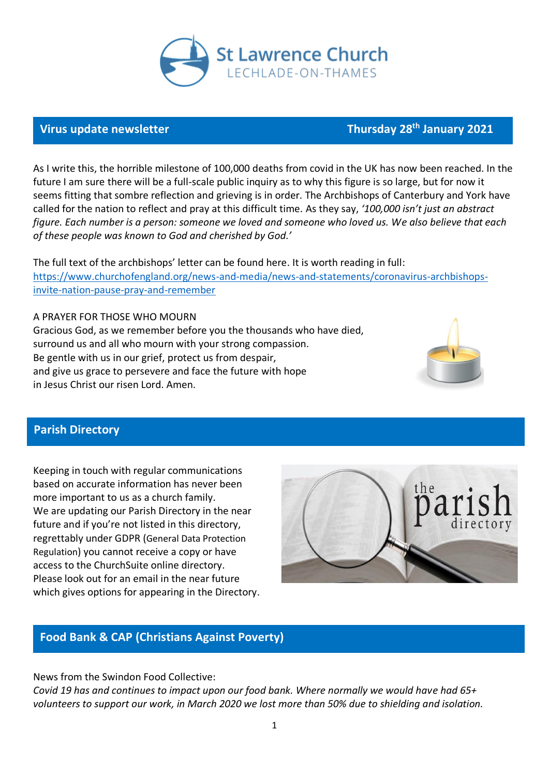

### **Virus update newsletter**

As I write this, the horrible milestone of 100,000 deaths from covid in the UK has now been reached. In the future I am sure there will be a full-scale public inquiry as to why this figure is so large, but for now it seems fitting that sombre reflection and grieving is in order. The Archbishops of Canterbury and York have called for the nation to reflect and pray at this difficult time. As they say, *'100,000 isn't just an abstract figure. Each number is a person: someone we loved and someone who loved us. We also believe that each of these people was known to God and cherished by God.'*

The full text of the archbishops' letter can be found here. It is worth reading in full: [https://www.churchofengland.org/news-and-media/news-and-statements/coronavirus-archbishops](https://www.churchofengland.org/news-and-media/news-and-statements/coronavirus-archbishops-invite-nation-pause-pray-and-remember)[invite-nation-pause-pray-and-remember](https://www.churchofengland.org/news-and-media/news-and-statements/coronavirus-archbishops-invite-nation-pause-pray-and-remember)

A PRAYER FOR THOSE WHO MOURN Gracious God, as we remember before you the thousands who have died, surround us and all who mourn with your strong compassion. Be gentle with us in our grief, protect us from despair, and give us grace to persevere and face the future with hope in Jesus Christ our risen Lord. Amen.



**th January 2021**

## **Parish Directory**

Keeping in touch with regular communications based on accurate information has never been more important to us as a church family. We are updating our Parish Directory in the near future and if you're not listed in this directory, regrettably under GDPR (General Data Protection Regulation) you cannot receive a copy or have access to the ChurchSuite online directory. Please look out for an email in the near future which gives options for appearing in the Directory.



### **Food Bank & CAP (Christians Against Poverty)**

News from the Swindon Food Collective:

*Covid 19 has and continues to impact upon our food bank. Where normally we would have had 65+ volunteers to support our work, in March 2020 we lost more than 50% due to shielding and isolation.*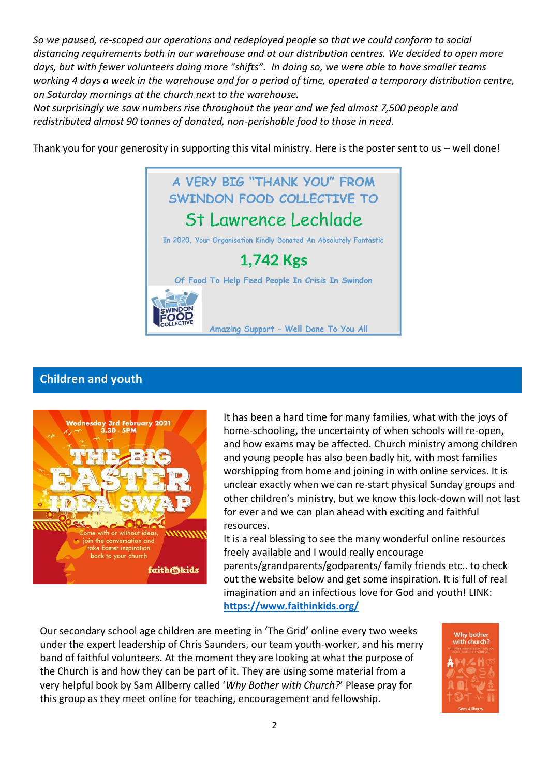*So we paused, re-scoped our operations and redeployed people so that we could conform to social distancing requirements both in our warehouse and at our distribution centres. We decided to open more days, but with fewer volunteers doing more "shifts". In doing so, we were able to have smaller teams working 4 days a week in the warehouse and for a period of time, operated a temporary distribution centre, on Saturday mornings at the church next to the warehouse.* 

*Not surprisingly we saw numbers rise throughout the year and we fed almost 7,500 people and redistributed almost 90 tonnes of donated, non-perishable food to those in need.*

Thank you for your generosity in supporting this vital ministry. Here is the poster sent to us – well done!



## **Children and youth**



It has been a hard time for many families, what with the joys of home-schooling, the uncertainty of when schools will re-open, and how exams may be affected. Church ministry among children and young people has also been badly hit, with most families worshipping from home and joining in with online services. It is unclear exactly when we can re-start physical Sunday groups and other children's ministry, but we know this lock-down will not last for ever and we can plan ahead with exciting and faithful resources.

It is a real blessing to see the many wonderful online resources freely available and I would really encourage parents/grandparents/godparents/ family friends etc.. to check out the website below and get some inspiration. It is full of real imagination and an infectious love for God and youth! LINK: **<https://www.faithinkids.org/>**

Our secondary school age children are meeting in 'The Grid' online every two weeks under the expert leadership of Chris Saunders, our team youth-worker, and his merry band of faithful volunteers. At the moment they are looking at what the purpose of the Church is and how they can be part of it. They are using some material from a very helpful book by Sam Allberry called '*Why Bother with Church?*' Please pray for this group as they meet online for teaching, encouragement and fellowship.

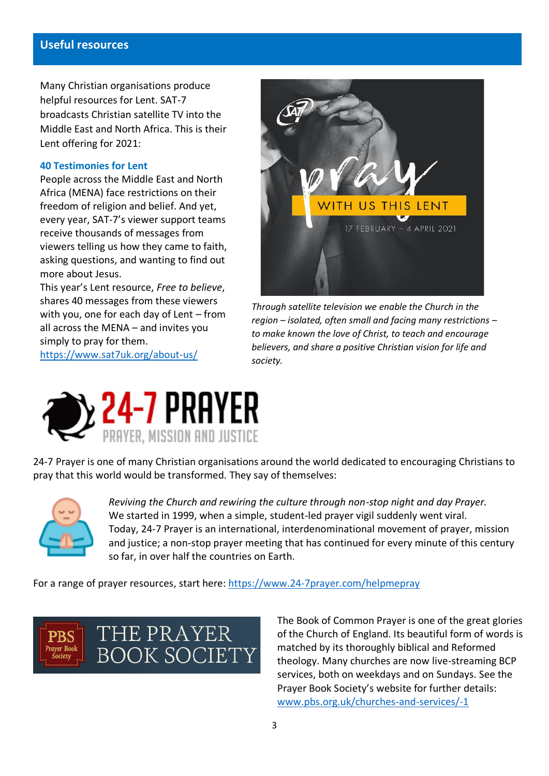#### **Useful resources**

Many Christian organisations produce helpful resources for Lent. SAT-7 broadcasts Christian satellite TV into the Middle East and North Africa. This is their Lent offering for 2021:

#### **40 Testimonies for Lent**

People across the Middle East and North Africa (MENA) face restrictions on their freedom of religion and belief. And yet, every year, SAT-7's viewer support teams receive thousands of messages from viewers telling us how they came to faith, asking questions, and wanting to find out more about Jesus.

This year's Lent resource, *Free to believe*, shares 40 messages from these viewers with you, one for each day of Lent – from all across the MENA – and invites you simply to pray for them.

<https://www.sat7uk.org/about-us/>



*Through satellite television we enable the Church in the region – isolated, often small and facing many restrictions – to make known the love of Christ, to teach and encourage believers, and share a positive Christian vision for life and society.* 



24-7 Prayer is one of many Christian organisations around the world dedicated to encouraging Christians to pray that this world would be transformed. They say of themselves:



*Reviving the Church and rewiring the culture through non-stop night and day Prayer.* We started in 1999, when a simple, student-led prayer vigil suddenly went viral. Today, 24-7 Prayer is an international, interdenominational movement of prayer, mission and justice; a non-stop prayer meeting that has continued for every minute of this century so far, in over half the countries on Earth.

For a range of prayer resources, start here:<https://www.24-7prayer.com/helpmepray>



The Book of Common Prayer is one of the great glories of the Church of England. Its beautiful form of words is matched by its thoroughly biblical and Reformed theology. Many churches are now live-streaming BCP services, both on weekdays and on Sundays. See the Prayer Book Society's website for further details: [www.pbs.org.uk/churches-and-services/-1](http://www.pbs.org.uk/churches-and-services/-1)